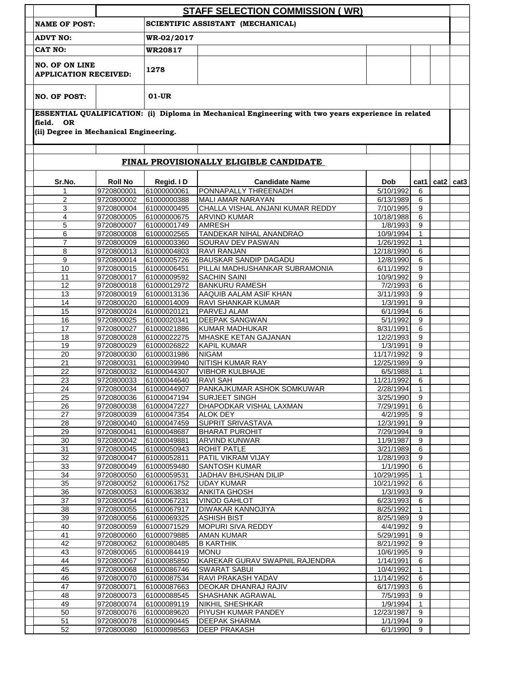|                                                       |                              |                                   | <b>STAFF SELECTION COMMISSION (WR)</b>                                                              |                         |                  |      |                  |
|-------------------------------------------------------|------------------------------|-----------------------------------|-----------------------------------------------------------------------------------------------------|-------------------------|------------------|------|------------------|
| <b>NAME OF POST:</b>                                  |                              | SCIENTIFIC ASSISTANT (MECHANICAL) |                                                                                                     |                         |                  |      |                  |
| <b>ADVT NO:</b>                                       |                              | WR-02/2017                        |                                                                                                     |                         |                  |      |                  |
| CAT NO:                                               |                              | <b>WR20817</b>                    |                                                                                                     |                         |                  |      |                  |
| <b>NO. OF ON LINE</b><br><b>APPLICATION RECEIVED:</b> |                              | 1278                              |                                                                                                     |                         |                  |      |                  |
| <b>NO. OF POST:</b>                                   |                              | $01-UR$                           |                                                                                                     |                         |                  |      |                  |
| field. OR<br>(ii) Degree in Mechanical Engineering.   |                              |                                   | ESSENTIAL QUALIFICATION: (i) Diploma in Mechanical Engineering with two years experience in related |                         |                  |      |                  |
|                                                       |                              |                                   | FINAL PROVISIONALLY ELIGIBLE CANDIDATE                                                              |                         |                  |      |                  |
|                                                       |                              |                                   |                                                                                                     |                         |                  |      |                  |
| Sr.No.<br>1                                           | <b>Roll No</b><br>9720800001 | Regid. ID<br>61000000061          | <b>Candidate Name</b><br>PONNAPALLY THREENADH                                                       | <b>Dob</b><br>5/10/1992 | cat1  <br>6      | cat2 | cat <sub>3</sub> |
| $\overline{c}$                                        | 9720800002                   | 61000000388                       | MALI AMAR NARAYAN                                                                                   | 6/13/1989               | 6                |      |                  |
| 3                                                     | 9720800004                   | 61000000495                       | CHALLA VISHAL ANJANI KUMAR REDDY                                                                    | 7/10/1995               | 9                |      |                  |
| $\overline{4}$                                        | 9720800005                   | 61000000675                       | <b>ARVIND KUMAR</b>                                                                                 | 10/18/1988              | 6                |      |                  |
| 5                                                     | 9720800007                   | 61000001749                       | <b>AMRESH</b>                                                                                       | 1/8/1993                | 9                |      |                  |
| 6                                                     | 9720800008                   | 61000002565                       | TANDEKAR NIHAL ANANDRAO                                                                             | 10/9/1994               | $\mathbf{1}$     |      |                  |
| $\overline{7}$                                        | 9720800009                   | 61000003360                       | SOURAV DEV PASWAN                                                                                   | 1/26/1992               | $\mathbf{1}$     |      |                  |
| 8                                                     | 9720800013                   | 61000004803                       | RAVI RANJAN                                                                                         | 12/18/1990              | 6                |      |                  |
| 9                                                     | 9720800014                   | 61000005726                       | BAUSKAR SANDIP DAGADU                                                                               | 12/8/1990               | 6                |      |                  |
| 10                                                    | 9720800015                   | 61000006451                       | PILLAI MADHUSHANKAR SUBRAMONIA                                                                      | 6/11/1992               | 9                |      |                  |
| 11                                                    | 9720800017                   | 61000009592                       | <b>SACHIN SAINI</b>                                                                                 | 10/9/1992               | 9                |      |                  |
| 12                                                    |                              | 9720800018 61000012972            | <b>BANKURU RAMESH</b>                                                                               | 7/2/1993                | 6                |      |                  |
| 13                                                    | 9720800019                   | 61000013136                       | AAQUIB AALAM ASIF KHAN                                                                              | 3/11/1993               | 9                |      |                  |
| 14                                                    | 9720800020                   | 61000014009                       | <b>RAVI SHANKAR KUMAR</b>                                                                           | 1/3/1991                | 9                |      |                  |
| 15                                                    | 9720800024                   | 61000020121                       | PARVEJ ALAM                                                                                         | 6/1/1994                | 6                |      |                  |
| 16                                                    | 9720800025                   | 61000020341                       | <b>DEEPAK SANGWAN</b>                                                                               | 5/1/1992                | 9                |      |                  |
| 17                                                    | 9720800027                   | 61000021886                       | <b>KUMAR MADHUKAR</b>                                                                               | 8/31/1991               | 6                |      |                  |
| 18                                                    | 9720800028                   | 61000022275                       | MHASKE KETAN GAJANAN                                                                                | 12/2/1993               | 9                |      |                  |
| 19                                                    | 9720800029                   | 61000026822                       | <b>KAPIL KUMAR</b>                                                                                  | 1/3/1991                | 9                |      |                  |
| 20                                                    | 9720800030                   | 61000031986                       | <b>NIGAM</b>                                                                                        | 11/17/1992              | 9                |      |                  |
| 21                                                    | 9720800031                   | 61000039940                       | NITISH KUMAR RAY                                                                                    | 12/25/1989              | 9                |      |                  |
| 22                                                    | 9720800032                   | 61000044307                       | <b>VIBHOR KULBHAJE</b>                                                                              | 6/5/1988                | $\mathbf{1}$     |      |                  |
| 23                                                    | 9720800033                   | 61000044640                       | <b>RAVI SAH</b>                                                                                     | 11/21/1992              | 6                |      |                  |
| 24                                                    | 9720800034                   | 61000044907                       | PANKAJKUMAR ASHOK SOMKUWAR                                                                          | 2/28/1994               | $\mathbf{1}$     |      |                  |
| 25                                                    | 9720800036                   | 61000047194                       | <b>SURJEET SINGH</b>                                                                                | 3/25/1990               | 9                |      |                  |
| 26                                                    | 9720800038                   | 61000047227                       | DHAPODKAR VISHAL LAXMAN                                                                             | 7/29/1991               | 6                |      |                  |
| 27                                                    | 9720800039                   | 61000047354                       | <b>ALOK DEY</b>                                                                                     | 4/2/1995                | 9                |      |                  |
| 28                                                    | 9720800040                   | 61000047459                       | SUPRIT SRIVASTAVA                                                                                   | 12/3/1991               | 9                |      |                  |
| 29                                                    | 9720800041                   | 61000048687                       | <b>BHARAT PUROHIT</b>                                                                               | 7/29/1994               | 9                |      |                  |
| 30                                                    | 9720800042                   | 61000049881                       | ARVIND KUNWAR                                                                                       | 11/9/1987               | $\boldsymbol{9}$ |      |                  |
| 31                                                    | 9720800045                   | 61000050943                       | ROHIT PATLE                                                                                         | 3/21/1989               | 6                |      |                  |
| 32                                                    | 9720800047                   | 61000052811                       | PATIL VIKRAM VIJAY                                                                                  | 1/28/1993               | 9                |      |                  |
| 33                                                    | 9720800049                   | 61000059480                       | SANTOSH KUMAR                                                                                       | 1/1/1990                | 6                |      |                  |
| 34                                                    | 9720800050                   | 61000059531                       | JADHAV BHUSHAN DILIP                                                                                | 10/29/1995              | $\mathbf{1}$     |      |                  |
| 35                                                    | 9720800052                   | 61000061752                       | <b>UDAY KUMAR</b>                                                                                   | 10/21/1992              | 6                |      |                  |
| $\overline{36}$                                       | 9720800053                   | 61000063832                       | ANKITA GHOSH                                                                                        | 1/3/1993                | 9                |      |                  |
| 37                                                    | 9720800054                   | 61000067231                       | <b>VINOD GAHLOT</b>                                                                                 | 6/23/1993               | 6                |      |                  |
| 38                                                    | 9720800055                   | 61000067917                       | DIWAKAR KANNOJIYA                                                                                   | 8/25/1992               | 1                |      |                  |
| 39                                                    | 9720800056                   | 61000069325                       | <b>ASHISH BIST</b>                                                                                  | 8/25/1989               | 9                |      |                  |
| 40                                                    | 9720800059                   | 61000071529                       | <b>MOPURI SIVA REDDY</b>                                                                            | 4/4/1992                | 9                |      |                  |
| 41                                                    | 9720800060                   | 61000079885                       | <b>AMAN KUMAR</b>                                                                                   | 5/29/1991               | 9                |      |                  |
| 42                                                    | 9720800062                   | 61000080485                       | <b>B KARTHIK</b>                                                                                    | 8/21/1992               | 9                |      |                  |
| 43                                                    | 9720800065                   | 61000084419                       | <b>MONU</b>                                                                                         | 10/6/1995               | 9                |      |                  |
| 44                                                    | 9720800067                   | 61000085850                       | KAREKAR GURAV SWAPNIL RAJENDRA                                                                      | 1/14/1991               | 6                |      |                  |
| 45                                                    | 9720800068                   | 61000086746                       | <b>SWARAT SABUI</b>                                                                                 | 10/4/1992               | $\mathbf{1}$     |      |                  |
| 46                                                    | 9720800070                   | 61000087534                       | RAVI PRAKASH YADAV                                                                                  | 11/14/1992              | 6                |      |                  |
| 47<br>48                                              | 9720800071                   | 61000087663                       | DEOKAR DHANRAJ RAJIV                                                                                | 6/17/1993               | 6<br>9           |      |                  |
|                                                       | 9720800073                   | 61000088545                       | SHASHANK AGRAWAL                                                                                    | 7/5/1993                |                  |      |                  |
| 49                                                    | 9720800074                   | 61000089119<br>61000089620        | <b>NIKHIL SHESHKAR</b>                                                                              | 1/9/1994                | $\mathbf{1}$     |      |                  |
| 50<br>51                                              | 9720800076<br>9720800078     |                                   | PIYUSH KUMAR PANDEY<br><b>DEEPAK SHARMA</b>                                                         | 12/23/1987<br>1/1/1994  | 9<br>9           |      |                  |
|                                                       |                              | 61000090445                       |                                                                                                     |                         |                  |      |                  |
| 52                                                    | 9720800080                   | 61000098563                       | <b>DEEP PRAKASH</b>                                                                                 | 6/1/1990                | 9                |      |                  |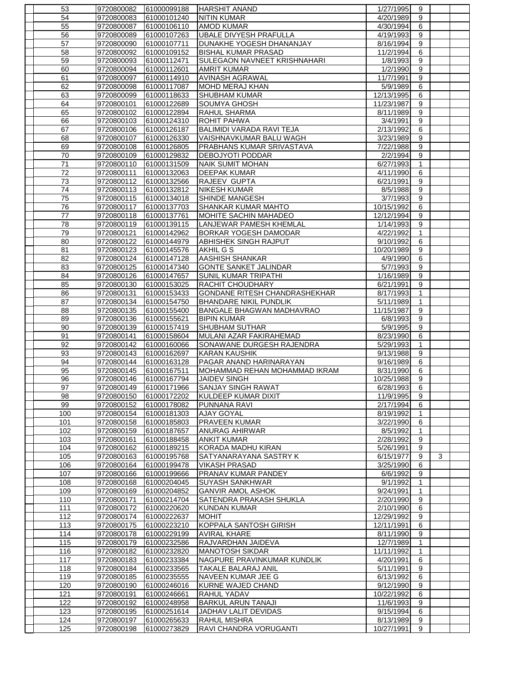| 53              | 9720800082               | 61000099188 | <b>HARSHIT ANAND</b>                        | 1/27/1995             | 9              |   |  |
|-----------------|--------------------------|-------------|---------------------------------------------|-----------------------|----------------|---|--|
| 54              | 9720800083               | 61000101240 | <b>NITIN KUMAR</b>                          | 4/20/1989             | 9              |   |  |
| 55              | 9720800087               | 61000106110 | <b>AMOD KUMAR</b>                           | 4/30/1994             | 6              |   |  |
| 56              | 9720800089               | 61000107263 | UBALE DIVYESH PRAFULLA                      | 4/19/1993             | 9              |   |  |
| 57              | 9720800090               | 61000107711 | DUNAKHE YOGESH DHANANJAY                    | 8/16/1994             | 9              |   |  |
| 58              | 9720800092               | 61000109152 | <b>BISHAL KUMAR PRASAD</b>                  | 11/2/1994             | 6              |   |  |
| 59              | 9720800093               | 61000112471 | <b>SULEGAON NAVNEET KRISHNAHARI</b>         | 1/8/1993              | 9              |   |  |
| 60              | 9720800094               | 61000112601 | <b>AMRIT KUMAR</b>                          | 1/2/1990              | 9              |   |  |
| 61              | 9720800097               | 61000114910 | <b>AVINASH AGRAWAL</b>                      | 11/7/1991             | 9              |   |  |
| 62              | 9720800098               | 61000117087 | <b>MOHD MERAJ KHAN</b>                      | 5/9/1989              | 6              |   |  |
| 63              | 9720800099               | 61000118633 | <b>SHUBHAM KUMAR</b>                        | 12/13/1995            | 6              |   |  |
| 64              | 9720800101               | 61000122689 | <b>SOUMYA GHOSH</b>                         | 11/23/1987            | 9              |   |  |
| 65              | 9720800102               | 61000122894 | <b>RAHUL SHARMA</b>                         | 8/11/1989             | 9              |   |  |
| 66              | 9720800103               | 61000124310 | <b>ROHIT PAHWA</b>                          | 3/4/1991              | 9              |   |  |
| 67              | 9720800106               | 61000126187 | BALIMIDI VARADA RAVI TEJA                   | 2/13/1992             | 6              |   |  |
| 68              | 9720800107               | 61000126330 | VAISHNAVKUMAR BALU WAGH                     | 3/23/1989             | 9              |   |  |
|                 | 9720800108               |             |                                             |                       | 9              |   |  |
| 69              |                          | 61000126805 | <b>PRABHANS KUMAR SRIVASTAVA</b>            | 7/22/1988             |                |   |  |
| 70              | 9720800109               | 61000129832 | <b>DEBOJYOTI PODDAR</b>                     | 2/2/1994              | 9              |   |  |
| $\overline{71}$ | 9720800110               | 61000131509 | <b>NAIK SUMIT MOHAN</b>                     | 6/27/1993             | $\mathbf{1}$   |   |  |
| 72              | 9720800111               | 61000132063 | <b>DEEPAK KUMAR</b>                         | 4/11/1990             | 6              |   |  |
| 73              | 9720800112               | 61000132566 | RAJEEV GUPTA                                | 6/21/1991             | 9              |   |  |
| 74              | 9720800113               | 61000132812 | <b>NIKESH KUMAR</b>                         | 8/5/1988              | 9              |   |  |
| 75              | 9720800115               | 61000134018 | SHINDE MANGESH                              | 3/7/1993              | 9              |   |  |
| 76              | 9720800117               | 61000137703 | SHANKAR KUMAR MAHTO                         | 10/15/1992            | 6              |   |  |
| 77              | 9720800118               | 61000137761 | <b>IMOHITE SACHIN MAHADEO</b>               | 12/12/1994            | 9              |   |  |
| 78              | 9720800119               | 61000139115 | LANJEWAR PAMESH KHEMLAL                     | 1/14/1993             | 9              |   |  |
| 79              | 9720800121               | 61000142962 | <b>BORKAR YOGESH DAMODAR</b>                | 4/22/1992             | $\mathbf{1}$   |   |  |
| 80              | 9720800122               | 61000144979 | <b>ABHISHEK SINGH RAJPUT</b>                | 9/10/1992             | 6              |   |  |
| 81              | 9720800123               | 61000145576 | AKHIL G S                                   | 10/20/1989            | 9              |   |  |
| 82              | 9720800124               | 61000147128 | <b>AASHISH SHANKAR</b>                      | 4/9/1990              | $\overline{6}$ |   |  |
| 83              | 9720800125               | 61000147340 | <b>GONTE SANKET JALINDAR</b>                | 5/7/1993              | 9              |   |  |
| 84              | 9720800126               | 61000147657 | <b>SUNIL KUMAR TRIPATHI</b>                 | 1/16/1989             | 9              |   |  |
| 85              | 9720800130               | 61000153025 | RACHIT CHOUDHARY                            | 6/21/1991             | 9              |   |  |
| 86              | 9720800131               | 61000153433 | <b>GONDANE RITESH CHANDRASHEKHAR</b>        | 8/17/1993             | $\mathbf{1}$   |   |  |
| 87              | 9720800134               | 61000154750 | <b>BHANDARE NIKIL PUNDLIK</b>               | 5/11/1989             | 1              |   |  |
| 88              | 9720800135               | 61000155400 | BANGALE BHAGWAN MADHAVRAO                   | 11/15/1987            | 9              |   |  |
| 89              | 9720800136               | 61000155621 | <b>BIPIN KUMAR</b>                          | 6/8/1993              | 9              |   |  |
| 90              | 9720800139               | 61000157419 | <b>SHUBHAM SUTHAR</b>                       | 5/9/1995              | 9              |   |  |
| 91              | 9720800141               | 61000158604 | MULANI AZAR FAKIRAHEMAD                     | 8/23/1990             | 6              |   |  |
| 92              | 9720800142               | 61000160066 | SONAWANE DURGESH RAJENDRA                   | 5/29/1993             | 1              |   |  |
| 93              | 9720800143               | 61000162697 | <b>KARAN KAUSHIK</b>                        | 9/13/1988             | 9              |   |  |
| 94              | 9720800144               | 61000163128 | PAGAR ANAND HARINARAYAN                     | 9/16/1989             | 6              |   |  |
| 95              | 9720800145               | 61000167511 | MOHAMMAD REHAN MOHAMMAD IKRAM               | 8/31/1990             | 6              |   |  |
| 96              | 9720800146               | 61000167794 | <b>JAIDEV SINGH</b>                         | 10/25/1988            | 9              |   |  |
| 97              | 9720800149               | 61000171966 | <b>SANJAY SINGH RAWAT</b>                   | 6/28/1993             | 6              |   |  |
| 98              | 9720800150               | 61000172202 | KULDEEP KUMAR DIXIT                         | 11/9/1995             | 9              |   |  |
| 99              | 9720800152               | 61000178082 | PUNNANA RAVI                                | 2/17/1994             | 6              |   |  |
| 100             |                          | 61000181303 |                                             | 8/19/1992             | $\mathbf{1}$   |   |  |
| 101             | 9720800154<br>9720800158 | 61000185803 | <b>AJAY GOYAL</b><br><b>PRAVEEN KUMAR</b>   | 3/22/1990             | 6              |   |  |
|                 |                          |             |                                             |                       |                |   |  |
| 102<br>103      | 9720800159               | 61000187657 | <b>ANURAG AHIRWAR</b><br><b>ANKIT KUMAR</b> | 8/5/1992<br>2/28/1992 | 1<br>9         |   |  |
|                 | 9720800161               | 61000188458 |                                             |                       |                |   |  |
| 104             | 9720800162               | 61000189215 | KORADA MADHU KIRAN                          | 5/26/1991             | 9              |   |  |
| 105             | 9720800163               | 61000195768 | SATYANARAYANA SASTRY K                      | 6/15/1977             | 9              | 3 |  |
| 106             | 9720800164               | 61000199478 | <b>VIKASH PRASAD</b>                        | 3/25/1990             | 6              |   |  |
| 107             | 9720800166               | 61000199666 | PRANAV KUMAR PANDEY                         | 6/6/1992              | 9              |   |  |
| 108             | 9720800168               | 61000204045 | <b>SUYASH SANKHWAR</b>                      | 9/1/1992              | $\mathbf{1}$   |   |  |
| 109             | 9720800169               | 61000204852 | <b>GANVIR AMOL ASHOK</b>                    | 9/24/1991             | $\mathbf{1}$   |   |  |
| 110             | 9720800171               | 61000214704 | SATENDRA PRAKASH SHUKLA                     | 2/20/1990             | 9              |   |  |
| 111             | 9720800172               | 61000220620 | <b>KUNDAN KUMAR</b>                         | 2/10/1990             | 6              |   |  |
| 112             | 9720800174               | 61000222637 | <b>MOHIT</b>                                | 12/29/1992            | 9              |   |  |
| 113             | 9720800175               | 61000223210 | KOPPALA SANTOSH GIRISH                      | 12/11/1991            | 6              |   |  |
| 114             | 9720800178               | 61000229199 | <b>AVIRAL KHARE</b>                         | 8/11/1990             | 9              |   |  |
| 115             | 9720800179               | 61000232586 | RAJVARDHAN JAIDEVA                          | 12/7/1989             | 1              |   |  |
| 116             | 9720800182               | 61000232820 | <b>MANOTOSH SIKDAR</b>                      | 11/11/1992            | 1              |   |  |
| 117             | 9720800183               | 61000233384 | NAGPURE PRAVINKUMAR KUNDLIK                 | 4/20/1991             | 6              |   |  |
| 118             | 9720800184               | 61000233565 | <b>TAKALE BALARAJ ANIL</b>                  | 5/11/1991             | 9              |   |  |
| 119             | 9720800185               | 61000235555 | NAVEEN KUMAR JEE G                          | 6/13/1992             | 6              |   |  |
| 120             | 9720800190               | 61000246016 | KURNE WAJED CHAND                           | 9/12/1990             | 9              |   |  |
| 121             | 9720800191               | 61000246661 | RAHUL YADAV                                 | 10/22/1992            | 6              |   |  |
| 122             | 9720800192               | 61000248958 | <b>BARKUL ARUN TANAJI</b>                   | 11/6/1993             | 9              |   |  |
| 123             | 9720800195               | 61000251614 | JADHAV LALIT DEVIDAS                        | 9/15/1994             | 6              |   |  |
| 124             | 9720800197               | 61000265633 | <b>RAHUL MISHRA</b>                         | 8/13/1989             | 9              |   |  |
| 125             | 9720800198               | 61000273829 | RAVI CHANDRA VORUGANTI                      | 10/27/1991            | 9              |   |  |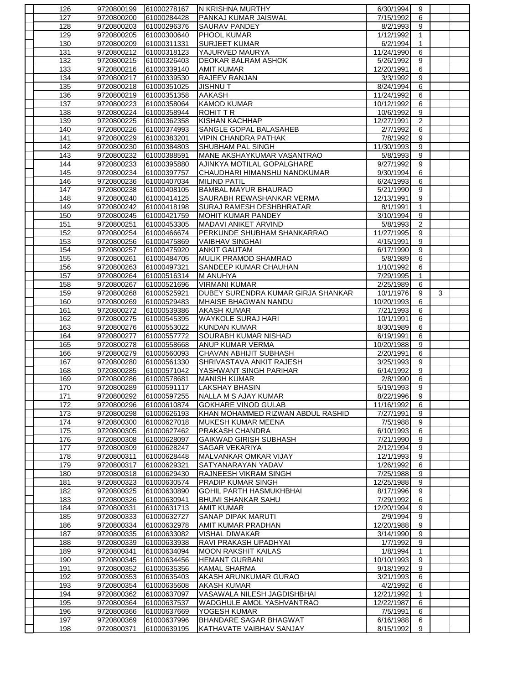|            | 9720800199               | 61000278167                | <b>N KRISHNA MURTHY</b>                                        | 6/30/1994               | 9                       |   |  |
|------------|--------------------------|----------------------------|----------------------------------------------------------------|-------------------------|-------------------------|---|--|
| 127        | 9720800200               | 61000284428                | PANKAJ KUMAR JAISWAL                                           | 7/15/1992               | 6                       |   |  |
| 128        | 9720800203               | 61000296376                | <b>SAURAV PANDEY</b>                                           | 8/2/1993                | 9                       |   |  |
| 129        | 9720800205               | 61000300640                | <b>PHOOL KUMAR</b>                                             | 1/12/1992               | $\mathbf{1}$            |   |  |
| 130        | 9720800209               | 61000311331                | <b>SURJEET KUMAR</b>                                           | 6/2/1994                | $\mathbf{1}$            |   |  |
| 131        | 9720800212               | 61000318123                | YAJURVED MAURYA                                                | 11/24/1990              | 6                       |   |  |
| 132        | 9720800215               | 61000326403                | <b>DEOKAR BALRAM ASHOK</b>                                     | 5/26/1992               | 9                       |   |  |
| 133        | 9720800216               | 61000339140                | <b>AMIT KUMAR</b>                                              | 12/20/1991              | 6                       |   |  |
| 134        | 9720800217               | 61000339530                | RAJEEV RANJAN                                                  | 3/3/1992                | 9                       |   |  |
| 135        | 9720800218               | 61000351025                | <b>JISHNUT</b>                                                 | 8/24/1994               | 6                       |   |  |
| 136        | 9720800219               | 61000351358                | <b>AAKASH</b>                                                  | 11/24/1992              | 6                       |   |  |
| 137        | 9720800223               | 61000358064                | <b>KAMOD KUMAR</b>                                             | 10/12/1992              | 6                       |   |  |
| 138        | 9720800224               | 61000358944                | <b>ROHIT T R</b>                                               | 10/6/1992               | 9                       |   |  |
| 139        | 9720800225               | 61000362358                | KISHAN KACHHAP                                                 | 12/27/1991              | $\overline{\mathbf{c}}$ |   |  |
| 140        | 9720800226               | 61000374993                | SANGLE GOPAL BALASAHEB                                         | 2/7/1992                | 6                       |   |  |
| 141        | 9720800229               | 61000383201                | <b>VIPIN CHANDRA PATHAK</b>                                    | 7/8/1992                | 9                       |   |  |
| 142        | 9720800230               | 61000384803                | <b>SHUBHAM PAL SINGH</b>                                       | 11/30/1993              | 9                       |   |  |
| 143        | 9720800232               | 61000388591                | MANE AKSHAYKUMAR VASANTRAO                                     | 5/8/1993                | 9                       |   |  |
| 144        | 9720800233               | 61000395880                | AJINKYA MOTILAL GOPALGHARE                                     | 9/27/1992               | 9                       |   |  |
| 145        | 9720800234               | 61000397757                | CHAUDHARI HIMANSHU NANDKUMAR                                   | 9/30/1994               | 6                       |   |  |
| 146        | 9720800236               | 61000407034                | <b>MILIND PATIL</b>                                            | 6/24/1993               | 6                       |   |  |
| 147        | 9720800238               | 61000408105                | <b>BAMBAL MAYUR BHAURAO</b>                                    | 5/21/1990               | 9                       |   |  |
| 148        | 9720800240               | 61000414125                | SAURABH REWASHANKAR VERMA                                      | 12/13/1991              | 9                       |   |  |
| 149        | 9720800242               | 61000418198                | <b>SURAJ RAMESH DESHBHRATAR</b>                                | 8/1/1991                | $\mathbf{1}$            |   |  |
| 150        | 9720800245               | 61000421759                | <b>MOHIT KUMAR PANDEY</b>                                      | 3/10/1994               | $\overline{9}$          |   |  |
| 151        | 9720800251               | 61000453305                | MADAVI ANIKET ARVIND                                           | 5/8/1993                | $\overline{2}$          |   |  |
| 152        | 9720800254               | 61000466674                | PERKUNDE SHUBHAM SHANKARRAO                                    | 11/27/1995              | $\overline{9}$          |   |  |
| 153        | 9720800256               | 61000475869                | <b>VAIBHAV SINGHAI</b>                                         | 4/15/1991               | 9                       |   |  |
| 154        | 9720800257               | 61000475920                | <b>ANKIT GAUTAM</b>                                            | 6/17/1990               | 9                       |   |  |
| 155        | 9720800261               | 61000484705                | <b>MULIK PRAMOD SHAMRAO</b>                                    | 5/8/1989                | $\overline{6}$          |   |  |
| 156        | 9720800263               | 61000497321                | SANDEEP KUMAR CHAUHAN                                          | 1/10/1992               | 6                       |   |  |
| 157        | 9720800264               | 61000516314                | <b>M ANUHYA</b>                                                | 7/29/1995               | $\mathbf{1}$            |   |  |
| 158        | 9720800267               | 61000521696                | <b>VIRMANI KUMAR</b>                                           | 2/25/1989               | 6                       |   |  |
| 159        | 9720800268               | 61000525921                | DUBEY SURENDRA KUMAR GIRJA SHANKAR                             | 10/1/1976               | 9                       | 3 |  |
| 160        | 9720800269               | 61000529483                | <b>MHAISE BHAGWAN NANDU</b>                                    | 10/20/1993              | 6                       |   |  |
| 161        | 9720800272               | 61000539386                | <b>AKASH KUMAR</b>                                             | 7/21/1993               | 6                       |   |  |
| 162<br>163 | 9720800275<br>9720800276 | 61000545395<br>61000553022 | <b>WAYKOLE SURAJ HARI</b><br>KUNDAN KUMAR                      | 10/1/1991<br>8/30/1989  | 6<br>6                  |   |  |
| 164        | 9720800277               | 61000557772                | SOURABH KUMAR NISHAD                                           | 6/19/1991               | 6                       |   |  |
| 165        | 9720800278               | 61000558668                | <b>ANUP KUMAR VERMA</b>                                        | 10/20/1988              | 9                       |   |  |
| 166        | 9720800279               | 61000560093                | CHAVAN ABHIJIT SUBHASH                                         | 2/20/1991               | 6                       |   |  |
|            |                          |                            |                                                                |                         |                         |   |  |
|            |                          |                            |                                                                |                         |                         |   |  |
| 167        | 9720800280               | 61000561330                | SHRIVASTAVA ANKIT RAJESH                                       | 3/25/1993               | 9                       |   |  |
| 168        | 9720800285               | 61000571042                | YASHWANT SINGH PARIHAR                                         | 6/14/1992               | 9                       |   |  |
| 169        | 9720800286               | 61000578681                | <b>MANISH KUMAR</b>                                            | 2/8/1990                | 6                       |   |  |
| 170        | 9720800289               | 61000591117                | <b>LAKSHAY BHASIN</b>                                          | 5/19/1993               | 9                       |   |  |
| 171<br>172 | 9720800292               | 61000597255<br>61000610874 | NALLA M S AJAY KUMAR                                           | 8/22/1996               | 9<br>6                  |   |  |
| 173        | 9720800296               |                            | <b>GOKHARE VINOD GULAB</b>                                     | 11/16/1992<br>7/27/1991 | 9                       |   |  |
| 174        | 9720800298<br>9720800300 | 61000626193<br>61000627018 | KHAN MOHAMMED RIZWAN ABDUL RASHID<br><b>MUKESH KUMAR MEENA</b> | 7/5/1988                | 9                       |   |  |
| 175        | 9720800305               | 61000627462                | PRAKASH CHANDRA                                                | 6/10/1993               | 6                       |   |  |
| 176        | 9720800308               | 61000628097                | <b>GAIKWAD GIRISH SUBHASH</b>                                  | 7/21/1990               | 9                       |   |  |
| 177        | 9720800309               | 61000628247                | <b>SAGAR VEKARIYA</b>                                          | 2/12/1994               | 9                       |   |  |
| 178        | 9720800311               | 61000628448                | MALVANKAR OMKAR VIJAY                                          | 12/1/1993               | 9                       |   |  |
| 179        | 9720800317               | 61000629321                | SATYANARAYAN YADAV                                             | 1/26/1992               | 6                       |   |  |
| 180        | 9720800318               | 61000629430                | <b>RAJNEESH VIKRAM SINGH</b>                                   | 7/25/1988               | 9                       |   |  |
| 181        | 9720800323               | 61000630574                | PRADIP KUMAR SINGH                                             | 12/25/1988              | 9                       |   |  |
| 182        | 9720800325               | 61000630890                | <b>GOHIL PARTH HASMUKHBHAI</b>                                 | 8/17/1996               | 9                       |   |  |
| 183        | 9720800326               | 61000630941                | <b>BHUMI SHANKAR SAHU</b>                                      | 7/29/1992               | 6                       |   |  |
| 184        | 9720800331               | 61000631713                | <b>AMIT KUMAR</b>                                              | 12/20/1994              | 9                       |   |  |
| 185        | 9720800333               | 61000632727                | <b>SANAP DIPAK MARUTI</b>                                      | $\sqrt{2}/9/1994$       | 9                       |   |  |
| 186        | 9720800334               | 61000632978                | AMIT KUMAR PRADHAN                                             | 12/20/1988              | 9                       |   |  |
| 187        | 9720800335               | 61000633082                | VISHAL DIWAKAR                                                 | 3/14/1990               | 9                       |   |  |
| 188        | 9720800339               | 61000633938                | RAVI PRAKASH UPADHYAI                                          | 1/7/1992                | 9                       |   |  |
| 189        | 9720800341               | 61000634094                | <b>MOON RAKSHIT KAILAS</b>                                     | $\frac{1}{8}$ /1994     | 1                       |   |  |
| 190        | 9720800345               | 61000634456                | <b>HEMANT GURBANI</b>                                          | 10/10/1993              | 9                       |   |  |
| 191        | 9720800352               | 61000635356                | <b>KAMAL SHARMA</b>                                            | 9/18/1992               | 9                       |   |  |
| 192        | 9720800353               | 61000635403                | AKASH ARUNKUMAR GURAO                                          | 3/21/1993               | 6                       |   |  |
| 193        | 9720800354               | 61000635608                | <b>AKASH KUMAR</b>                                             | 4/2/1992                | 6                       |   |  |
| 194        | 9720800362               | 61000637097                | VASAWALA NILESH JAGDISHBHAI                                    | 12/21/1992              | 1                       |   |  |
| 195        | 9720800364               | 61000637537                | WADGHULE AMOL YASHVANTRAO                                      | 12/22/1987              | 6                       |   |  |
| 196        | 9720800366               | 61000637669                | YOGESH KUMAR                                                   | 7/5/1991                | 6                       |   |  |
| 197<br>198 | 9720800369<br>9720800371 | 61000637996<br>61000639195 | <b>BHANDARE SAGAR BHAGWAT</b><br>KATHAVATE VAIBHAV SANJAY      | 6/16/1988<br>8/15/1992  | 6<br>9                  |   |  |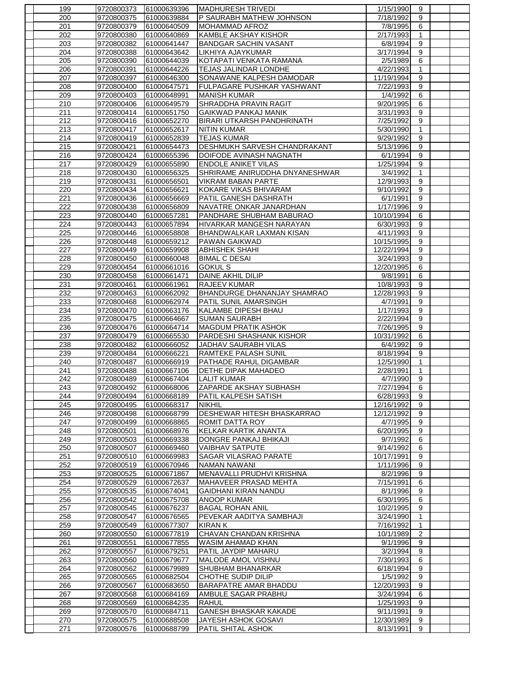| 199        | 9720800373               | 61000639396                | MADHURESH TRIVEDI                         | 1/15/1990               | 9              |  |
|------------|--------------------------|----------------------------|-------------------------------------------|-------------------------|----------------|--|
| 200        | 9720800375               | 61000639884                | P SAURABH MATHEW JOHNSON                  | 7/18/1992               | 9              |  |
| 201        | 9720800379               | 61000640509                | MOHAMMAD AFROZ                            | 7/8/1995                | 6              |  |
| 202        | 9720800380               | 61000640869                | <b>KAMBLE AKSHAY KISHOR</b>               | 2/17/1993               | $\mathbf{1}$   |  |
| 203        | 9720800382               | 61000641447                | <b>BANDGAR SACHIN VASANT</b>              | 6/8/1994                | 9              |  |
| 204        | 9720800388               | 61000643642                | LIKHIYA AJAYKUMAR                         | 3/17/1994               | 9              |  |
| 205        | 9720800390               | 61000644039                | KOTAPATI VENKATA RAMANA                   | 2/5/1989                | 6              |  |
| 206        | 9720800391               | 61000644226                | TEJAS JALINDAR LONDHE                     | 4/22/1993               | $\mathbf{1}$   |  |
| 207        | 9720800397               | 61000646300                | SONAWANE KALPESH DAMODAR                  | 11/19/1994              | 9              |  |
| 208        | 9720800400               | 61000647571                | FULPAGARE PUSHKAR YASHWANT                | 7/22/1993               | 9              |  |
| 209        | 9720800403               | 61000648991                | <b>MANISH KUMAR</b>                       | 1/4/1992                | 6              |  |
| 210        | 9720800406               | 61000649579                | SHRADDHA PRAVIN RAGIT                     | 9/20/1995               | 6              |  |
| 211        | 9720800414               | 61000651750                | <b>GAIKWAD PANKAJ MANIK</b>               | 3/31/1993               | 9              |  |
| 212        | 9720800416               | 61000652270                | <b>BIRARI UTKARSH PANDHRINATH</b>         | 7/25/1992               | 9              |  |
| 213        | 9720800417               | 61000652617                | <b>NITIN KUMAR</b>                        | 5/30/1990               | $\mathbf{1}$   |  |
| 214        | 9720800419               | 61000652839                | <b>TEJAS KUMAR</b>                        | 9/29/1992               | 9              |  |
| 215        | 9720800421               | 61000654473                | DESHMUKH SARVESH CHANDRAKANT              | 5/13/1996               | 9              |  |
| 216        | 9720800424               | 61000655396                | DOIFODE AVINASH NAGNATH                   | 6/1/1994                | 9              |  |
| 217        | 9720800429               | 61000655890                | <b>ENDOLE ANIKET VILAS</b>                | 1/25/1994               | 9              |  |
| 218        | 9720800430               | 61000656325                | SHRIRAME ANIRUDDHA DNYANESHWAR            | 3/4/1992                | $\mathbf{1}$   |  |
| 219        | 9720800431               | 61000656501                | VIKRAM BABAN PARTE                        | 12/9/1993               | 9              |  |
| 220        | 9720800434               | 61000656621                | KOKARE VIKAS BHIVARAM                     | 9/10/1992               | 9              |  |
| 221        | 9720800436               | 61000656669                | PATIL GANESH DASHRATH                     | 6/1/1991                | 9              |  |
| 222        | 9720800438               | 61000656809                | NAVATRE ONKAR JANARDHAN                   | 1/17/1996               | 9              |  |
| 223        | 9720800440               | 61000657281                | PANDHARE SHUBHAM BABURAO                  | 10/10/1994              | 6              |  |
| 224        | 9720800443               | 61000657894                | HIVARKAR MANGESH NARAYAN                  | 6/30/1993               | 9              |  |
| 225        | 9720800446               | 61000658808                | BHANDWALKAR LAXMAN KISAN                  | 4/11/1993               | 9              |  |
| 226        | 9720800448               | 61000659212                | <b>PAWAN GAIKWAD</b>                      | 10/15/1995              | 9              |  |
| 227        | 9720800449               | 61000659908                | <b>ABHISHEK SHAHI</b>                     | 12/22/1994              | 9              |  |
| 228        | 9720800450               | 61000660048                | <b>BIMAL C DESAI</b>                      | 3/24/1993               | $\overline{9}$ |  |
| 229        | 9720800454               | 61000661016                | <b>GOKUL S</b>                            | 12/20/1995              | 6              |  |
| 230        | 9720800458               | 61000661471                | DAINE AKHIL DILIP                         | 9/8/1991                | 6              |  |
| 231        | 9720800461               | 61000661961                | <b>RAJEEV KUMAR</b>                       | 10/8/1993               | 9              |  |
| 232        | 9720800463               |                            |                                           | 12/28/1993              | 9              |  |
|            |                          | 61000662092                | BHANDURGE DHANANJAY SHAMRAO               |                         |                |  |
| 233        | 9720800468               | 61000662974                | PATIL SUNIL AMARSINGH                     | 4/7/1991                | 9              |  |
| 234        | 9720800470               | 61000663176                | KALAMBE DIPESH BHAU                       | 1/17/1993               | 9              |  |
| 235        | 9720800475               | 61000664667                | <b>SUMAN SAURABH</b>                      | 2/22/1994               | 9              |  |
| 236        | 9720800476               | 61000664714                | <b>MAGDUM PRATIK ASHOK</b>                | 7/26/1995               | 9              |  |
| 237        | 9720800479               | 61000665530                | PARDESHI SHASHANK KISHOR                  | 10/31/1992              | 6              |  |
| 238        | 9720800482               | 61000666052                | JADHAV SAURABH VILAS                      | 6/4/1992                | 9              |  |
| 239        | 9720800484               | 61000666221                | RAMTEKE PALASH SUNIL                      | 8/18/1994               | 9              |  |
| 240        | 9720800487               | 61000666919                | PATHADE RAHUL DIGAMBAR                    | 12/5/1990               | $\mathbf{1}$   |  |
| 241        | 9720800488               | 61000667106                | <b>DETHE DIPAK MAHADEO</b>                | 2/28/1991               | $\mathbf{1}$   |  |
| 242        | 9720800489               | 61000667404                | <b>LALIT KUMAR</b>                        | 4/7/1990                | 9              |  |
| 243        | 9720800492               | 61000668006                | <b>ZAPARDE AKSHAY SUBHASH</b>             | 7/27/1994               | 6              |  |
| 244        | 9720800494               | 61000668189                | PATIL KALPESH SATISH                      | 6/28/1993               | 9              |  |
| 245        | 9720800495               | 61000668317                | <b>NIKHIL</b>                             | 12/16/1992              | 9              |  |
| 246        | 9720800498               | 61000668799                | DESHEWAR HITESH BHASKARRAO                | 12/12/1992              | 9              |  |
| 247        | 9720800499               | 61000668865                | ROMIT DATTA ROY                           | 4/7/1995                | 9              |  |
| 248        | 9720800501               | 61000668976                | KELKAR KARTIK ANANTA                      | 6/20/1995               | 9              |  |
| 249        | 9720800503               | 61000669338                | DONGRE PANKAJ BHIKAJI                     | 9/7/1992                | 6              |  |
| 250        | 9720800507               | 61000669460                | VAIBHAV SATPUTE                           | 9/14/1992               | 6              |  |
| 251        | 9720800510               | 61000669983                | SAGAR VILASRAO PARATE                     | 10/17/1991              | 9              |  |
| 252<br>253 |                          |                            |                                           |                         |                |  |
|            | 9720800519               | 61000670946                | NAMAN NAWANI                              | 1/11/1996               | 9              |  |
|            | 9720800525               | 61000671867                | MENAVALLI PRUDHVI KRISHNA                 | 8/2/1996                | 9              |  |
| 254        | 9720800529               | 61000672637                | MAHAVEER PRASAD MEHTA                     | 7/15/1991               | 6              |  |
| 255        | 9720800535               | 61000674041                | <b>GAIDHANI KIRAN NANDU</b>               | 8/1/1996                | 9              |  |
| 256        | 9720800542               | 61000675708                | ANOOP KUMAR                               | 6/30/1995               | 6              |  |
| 257        | 9720800545               | 61000676237                | <b>BAGAL ROHAN ANIL</b>                   | 10/2/1995               | 9              |  |
| 258        | 9720800547               | 61000676565                | PEVEKAR AADITYA SAMBHAJI                  | 3/24/1990               | 1              |  |
| 259        | 9720800549               | 61000677307                | KIRAN K                                   | 7/16/1992               | 1              |  |
| 260        | 9720800550               | 61000677819                | CHAVAN CHANDAN KRISHNA                    | 10/1/1989               | $\overline{2}$ |  |
| 261        | 9720800551               | 61000677855                | WASIM AHAMAD KHAN                         | 9/1/1996                | 9              |  |
| 262        | 9720800557               | 61000679251                | PATIL JAYDIP MAHARU                       | 3/2/1994                | 9              |  |
| 263        | 9720800560               | 61000679677                | MALODE AMOL VISHNU                        | 7/30/1993               | 6              |  |
| 264        | 9720800562               | 61000679989                | <b>SHUBHAM BHANARKAR</b>                  | 6/18/1994               | 9              |  |
| 265        | 9720800565               | 61000682504                | CHOTHE SUDIP DILIP                        | 1/5/1992                | 9              |  |
| 266        | 9720800567               | 61000683650                | BARAPATRE AMAR BHADDU                     | 12/20/1993              | 9              |  |
| 267        | 9720800568               | 61000684169                | AMBULE SAGAR PRABHU                       | 3/24/1994               | 6              |  |
| 268        | 9720800569               | 61000684235                | <b>RAHUL</b>                              | 1/25/1993               | 9              |  |
| 269        | 9720800570               | 61000684711                | <b>GANESH BHASKAR KAKADE</b>              | 9/11/1991               | 9              |  |
| 270<br>271 | 9720800575<br>9720800576 | 61000688508<br>61000688799 | JAYESH ASHOK GOSAVI<br>PATIL SHITAL ASHOK | 12/30/1989<br>8/13/1991 | 9<br>9         |  |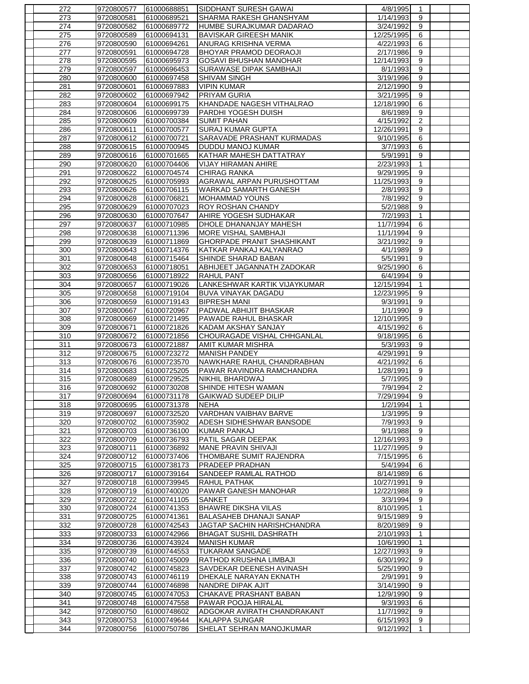| 272        | 9720800577               | 61000688851                | <b>SIDDHANT SURESH GAWAI</b>                     | 4/8/1995                | 1                   |  |
|------------|--------------------------|----------------------------|--------------------------------------------------|-------------------------|---------------------|--|
| 273        | 9720800581               | 61000689521                | SHARMA RAKESH GHANSHYAM                          | 1/14/1993               | 9                   |  |
| 274        | 9720800582               | 61000689772                | HUMBE SURAJKUMAR DADARAO                         | 3/24/1992               | 9                   |  |
| 275        | 9720800589               | 61000694131                | <b>BAVISKAR GIREESH MANIK</b>                    | 12/25/1995              | 6                   |  |
| 276        | 9720800590               | 61000694261                | ANURAG KRISHNA VERMA                             | 4/22/1993               | 6                   |  |
| 277        | 9720800591               | 61000694728                | <b>BHOYAR PRAMOD DEORAOJI</b>                    | 2/17/1986               | 9                   |  |
| 278        | 9720800595               | 61000695973                | GOSAVI BHUSHAN MANOHAR                           | 12/14/1993              | 9                   |  |
| 279        | 9720800597               | 61000696453                | <b>SURAWASE DIPAK SAMBHAJI</b>                   | 8/1/1993                | 9                   |  |
| 280        | 9720800600               | 61000697458                | <b>SHIVAM SINGH</b>                              | 3/19/1996               | 9                   |  |
| 281        | 9720800601               | 61000697883                | <b>VIPIN KUMAR</b>                               | 2/12/1990               | 9                   |  |
| 282        | 9720800602               | 61000697942                | <b>PRIYAM GURIA</b>                              | 3/21/1995               | 9                   |  |
| 283        | 9720800604               | 61000699175                | KHANDADE NAGESH VITHALRAO                        | 12/18/1990              | 6                   |  |
| 284        | 9720800606               | 61000699739                | <b>PARDHI YOGESH DUISH</b><br><b>SUMIT PAHAN</b> | 8/6/1989                | 9<br>$\overline{2}$ |  |
| 285<br>286 | 9720800609<br>9720800611 | 61000700384                | <b>SURAJ KUMAR GUPTA</b>                         | 4/15/1992<br>12/26/1991 | 9                   |  |
| 287        | 9720800612               | 61000700577<br>61000700721 | <b>SARAVADE PRASHANT KURMADAS</b>                | 9/10/1995               | 6                   |  |
| 288        | 9720800615               | 61000700945                | <b>DUDDU MANOJ KUMAR</b>                         | 3/7/1993                | 6                   |  |
| 289        | 9720800616               | 61000701665                | KATHAR MAHESH DATTATRAY                          | 5/9/1991                | 9                   |  |
| 290        | 9720800620               | 61000704406                | VIJAY HIRAMAN AHIRE                              | 2/23/1993               | 1                   |  |
| 291        | 9720800622               | 61000704574                | <b>CHIRAG RANKA</b>                              | 9/29/1995               | 9                   |  |
| 292        | 9720800625               | 61000705993                | <b>AGRAWAL ARPAN PURUSHOTTAM</b>                 | 11/25/1993              | 9                   |  |
| 293        | 9720800626               | 61000706115                | WARKAD SAMARTH GANESH                            | 2/8/1993                | 9                   |  |
| 294        | 9720800628               | 61000706821                | <b>MOHAMMAD YOUNS</b>                            | 7/8/1992                | 9                   |  |
| 295        | 9720800629               | 61000707023                | <b>ROY ROSHAN CHANDY</b>                         | 5/2/1988                | 9                   |  |
| 296        | 9720800630               | 61000707647                | AHIRE YOGESH SUDHAKAR                            | 7/2/1993                | $\mathbf{1}$        |  |
| 297        | 9720800637               | 61000710985                | DHOLE DHANANJAY MAHESH                           | 11/7/1994               | 6                   |  |
| 298        | 9720800638               | 61000711396                | MORE VISHAL SAMBHAJI                             | 11/1/1994               | 9                   |  |
| 299        | 9720800639               | 61000711869                | <b>GHORPADE PRANIT SHASHIKANT</b>                | 3/21/1992               | 9                   |  |
| 300        | 9720800643               | 61000714376                | KATKAR PANKAJ KALYANRAO                          | 4/1/1989                | 9                   |  |
| 301        | 9720800648               | 61000715464                | SHINDE SHARAD BABAN                              | 5/5/1991                | $\boldsymbol{9}$    |  |
| 302        | 9720800653               | 61000718051                | ABHIJEET JAGANNATH ZADOKAR                       | 9/25/1990               | 6                   |  |
| 303        | 9720800656               | 61000718922                | <b>RAHUL PANT</b>                                | 6/4/1994                | 9                   |  |
| 304        | 9720800657               | 61000719026                | LANKESHWAR KARTIK VIJAYKUMAR                     | 12/15/1994              | 1                   |  |
| 305        | 9720800658               | 61000719104                | <b>BUVA VINAYAK DAGADU</b>                       | 12/23/1995              | 9                   |  |
| 306        | 9720800659               | 61000719143                | <b>BIPRESH MANI</b>                              | 9/3/1991                | 9                   |  |
| 307        | 9720800667               | 61000720967                | PADWAL ABHIJIT BHASKAR                           | 1/1/1990                | $\overline{9}$      |  |
| 308        | 9720800669               | 61000721495                | PAWADE RAHUL BHASKAR                             | 12/10/1995              | 9                   |  |
| 309        | 9720800671               | 61000721826                | KADAM AKSHAY SANJAY                              | 4/15/1992               | 6                   |  |
| 310        | 9720800672               | 61000721856                | CHOURAGADE VISHAL CHHGANLAL                      | 9/18/1995               | 6                   |  |
| 311        | 9720800673               | 61000721887                | <b>AMIT KUMAR MISHRA</b>                         | 5/3/1993                | 9                   |  |
| 312        | 9720800675               | 61000723272                | <b>MANISH PANDEY</b>                             | 4/29/1991               | 9                   |  |
| 313        | 9720800676               | 61000723570                | NAWKHARE RAHUL CHANDRABHAN                       | 4/21/1992               | 6                   |  |
| 314        | 9720800683               | 61000725205                | <b>PAWAR RAVINDRA RAMCHANDRA</b>                 | 1/28/1991               | 9                   |  |
| 315        | 9720800689               | 61000729525                | NIKHIL BHARDWAJ                                  | 5/7/1995                | 9                   |  |
| 316        | 9720800692               | 61000730208                | <b>SHINDE HITESH WAMAN</b>                       | 7/9/1994                | $\overline{2}$      |  |
| 317        | 9720800694               | 61000731178                | <b>GAIKWAD SUDEEP DILIP</b>                      | 7/29/1994               | 9                   |  |
| 318        | 9720800695               | 61000731378                | <b>NEHA</b><br><b>VARDHAN VAIBHAV BARVE</b>      | 1/2/1994<br>1/3/1995    | $\mathbf{1}$<br>9   |  |
| 319        | 9720800697               | 61000732520                |                                                  | 7/9/1993                |                     |  |
| 320<br>321 | 9720800702<br>9720800703 | 61000735902<br>61000736100 | ADESH SIDHESHWAR BANSODE<br><b>KUMAR PANKAJ</b>  | 9/1/1988                | 9<br>9              |  |
| 322        | 9720800709               | 61000736793                | PATIL SAGAR DEEPAK                               | 12/16/1993              | 9                   |  |
| 323        | 9720800711               | 61000736892                | IMANE PRAVIN SHIVAJI                             | 11/27/1995              | 9                   |  |
| 324        | 9720800712               | 61000737406                | THOMBARE SUMIT RAJENDRA                          | 7/15/1995               | 6                   |  |
| 325        | 9720800715               | 61000738173                | <b>PRADEEP PRADHAN</b>                           | 5/4/1994                | 6                   |  |
| 326        | 9720800717               | 61000739164                | SANDEEP RAMLAL RATHOD                            | 8/14/1989               | 6                   |  |
| 327        | 9720800718               | 61000739945                | RAHUL PATHAK                                     | 10/27/1991              | 9                   |  |
| 328        | 9720800719               | 61000740020                | PAWAR GANESH MANOHAR                             | 12/22/1988              | 9                   |  |
| 329        | 9720800722               | 61000741105                | <b>SANKET</b>                                    | 3/3/1994                | 9                   |  |
| 330        | 9720800724               | 61000741353                | <b>BHAWRE DIKSHA VILAS</b>                       | 8/10/1995               | 1                   |  |
| 331        | 9720800725               | 61000741361                | <b>BALASAHEB DHANAJI SANAP</b>                   | 9/15/1989               | 9                   |  |
| 332        | 9720800728               | 61000742543                | JAGTAP SACHIN HARISHCHANDRA                      | 8/20/1989               | 9                   |  |
| 333        | 9720800733               | 61000742966                | <b>BHAGAT SUSHIL DASHRATH</b>                    | 2/10/1993               | 1                   |  |
| 334        | 9720800736               | 61000743924                | <b>MANISH KUMAR</b>                              | 10/6/1990               | 1                   |  |
| 335        | 9720800739               | 61000744553                | <b>TUKARAM SANGADE</b>                           | 12/27/1993              | 9                   |  |
| 336        | 9720800740               | 61000745009                | RATHOD KRUSHNA LIMBAJI                           | 6/30/1992               | 9                   |  |
| 337        | 9720800742               | 61000745823                | SAVDEKAR DEENESH AVINASH                         | 5/25/1990               | 9                   |  |
| 338        | 9720800743               | 61000746119                | DHEKALE NARAYAN EKNATH                           | 2/9/1991                | 9                   |  |
| 339        | 9720800744               | 61000746898                | NANDRE DIPAK AJIT                                | 3/14/1990               | 9                   |  |
| 340        | 9720800745               | 61000747053                | CHAKAVE PRASHANT BABAN                           | 12/9/1990               | 9                   |  |
| 341        | 9720800748               | 61000747558                | PAWAR POOJA HIRALAL                              | 9/3/1993                | 6                   |  |
| 342        | 9720800750               | 61000748602                | ADGOKAR AVIRATH CHANDRAKANT                      | 11/7/1992               | 9                   |  |
| 343<br>344 | 9720800753               | 61000749644                | KALAPPA SUNGAR                                   | 6/15/1993               | 9                   |  |
|            | 9720800756               | 61000750786                | SHELAT SEHRAN MANOJKUMAR                         | 9/12/1992               | -1                  |  |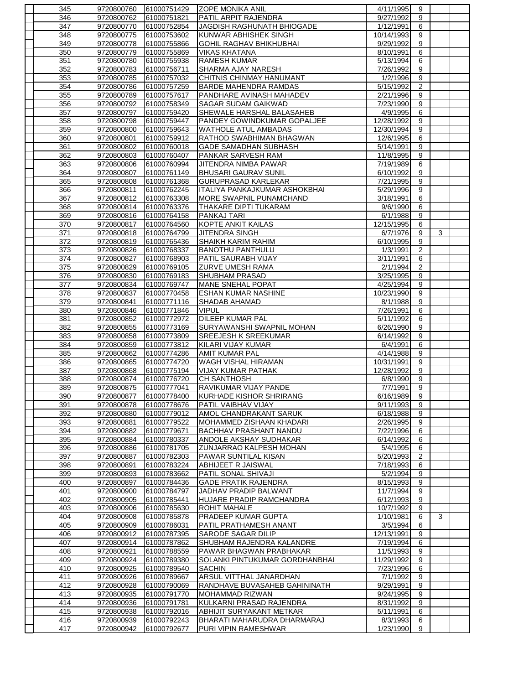| 345        | 9720800760               | 61000751429                | <b>ZOPE MONIKA ANIL</b>                    | 4/11/1995              | 9              |   |  |
|------------|--------------------------|----------------------------|--------------------------------------------|------------------------|----------------|---|--|
| 346        | 9720800762               | 61000751821                | <b>PATIL ARPIT RAJENDRA</b>                | 9/27/1992              | 9              |   |  |
| 347        | 9720800770               | 61000752854                | JAGDISH RAGHUNATH BHIOGADE                 | 1/12/1991              | 6              |   |  |
| 348        | 9720800775               | 61000753602                | KUNWAR ABHISHEK SINGH                      | 10/14/1993             | 9              |   |  |
| 349        | 9720800778               | 61000755866                | <b>GOHIL RAGHAV BHIKHUBHAI</b>             | 9/29/1992              | 9              |   |  |
| 350        | 9720800779               | 61000755869                | <b>VIKAS KHATANA</b>                       | 8/10/1991              | 6              |   |  |
| 351        | 9720800780               | 61000755938                | <b>RAMESH KUMAR</b>                        | 5/13/1994              | 6              |   |  |
| 352        | 9720800783               | 61000756711                | SHARMA AJAY NARESH                         | 7/26/1992              | 9              |   |  |
| 353        | 9720800785               | 61000757032                | CHITNIS CHINMAY HANUMANT                   | 1/2/1996               | $\overline{9}$ |   |  |
| 354        | 9720800786               | 61000757259                | <b>BARDE MAHENDRA RAMDAS</b>               | 5/15/1992              | $\overline{2}$ |   |  |
| 355        | 9720800789               | 61000757617                | PANDHARE AVINASH MAHADEV                   | 2/21/1996              | 9              |   |  |
| 356        | 9720800792               | 61000758349                | <b>SAGAR SUDAM GAIKWAD</b>                 | 7/23/1990              | $\overline{9}$ |   |  |
| 357        | 9720800797               | 61000759420                | SHEWALE HARSHAL BALASAHEB                  | 4/9/1995               | 6              |   |  |
| 358        | 9720800798               | 61000759447                | PANDEY GOWINDKUMAR GOPALJEE                | 12/28/1992             | 9              |   |  |
| 359        | 9720800800               | 61000759643                | <b>WATHOLE ATUL AMBADAS</b>                | 12/30/1994             | 9              |   |  |
| 360        | 9720800801               | 61000759912                | RATHOD SWABHIMAN BHAGWAN                   | 12/6/1995              | 6              |   |  |
| 361        | 9720800802               | 61000760018                | <b>GADE SAMADHAN SUBHASH</b>               | 5/14/1991              | 9              |   |  |
| 362        | 9720800803               | 61000760407                | PANKAR SARVESH RAM                         | 11/8/1995              | 9              |   |  |
| 363        | 9720800806               | 61000760994                | <b>JITENDRA NIMBA PAWAR</b>                | 7/19/1989              | 6              |   |  |
| 364        | 9720800807               | 61000761149                | <b>BHUSARI GAURAV SUNIL</b>                | 6/10/1992              | 9              |   |  |
| 365        | 9720800808               | 61000761368                | <b>GURUPRASAD KARLEKAR</b>                 | 7/21/1995              | 9              |   |  |
| 366        | 9720800811               | 61000762245                | ITALIYA PANKAJKUMAR ASHOKBHAI              | 5/29/1996              | 9              |   |  |
| 367        | 9720800812               | 61000763308                | MORE SWAPNIL PUNAMCHAND                    | 3/18/1991              | 6              |   |  |
| 368        | 9720800814               | 61000763376                | THAKARE DIPTI TUKARAM                      | 9/6/1990               | 6              |   |  |
| 369        | 9720800816               | 61000764158                | PANKAJ TARI                                | 6/1/1988               | 9              |   |  |
| 370        | 9720800817               | 61000764560                | KOPTE ANKIT KAILAS                         | 12/15/1995             | 6              |   |  |
| 371        | 9720800818               | 61000764799                | <b>JITENDRA SINGH</b>                      | 6/7/1976               | 9              | 3 |  |
| 372        | 9720800819               | 61000765436                | SHAIKH KARIM RAHIM                         | 6/10/1995              | 9              |   |  |
| 373        | 9720800826               | 61000768337                | <b>BANOTHU PANTHULU</b>                    | 1/3/1991               | $\overline{2}$ |   |  |
| 374        | 9720800827               | 61000768903                | PATIL SAURABH VIJAY                        | 3/11/1991              | 6              |   |  |
| 375        | 9720800829               | 61000769105                | <b>ZURVE UMESH RAMA</b>                    | 2/1/1994               | $\mathbf{2}$   |   |  |
|            |                          |                            |                                            | 3/25/1995              | 9              |   |  |
| 376<br>377 | 9720800830<br>9720800834 | 61000769183<br>61000769747 | <b>SHUBHAM PRASAD</b><br>MANE SNEHAL POPAT | 4/25/1994              | 9              |   |  |
| 378        | 9720800837               | 61000770458                | <b>ESHAN KUMAR NASHINE</b>                 | 10/23/1990             | 9              |   |  |
| 379        | 9720800841               | 61000771116                | <b>SHADAB AHAMAD</b>                       | 8/1/1988               | 9              |   |  |
| 380        | 9720800846               | 61000771846                | <b>VIPUL</b>                               | 7/26/1991              | 6              |   |  |
| 381        | 9720800852               | 61000772972                | <b>DILEEP KUMAR PAL</b>                    | 5/11/1992              | 6              |   |  |
| 382        | 9720800855               | 61000773169                | SURYAWANSHI SWAPNIL MOHAN                  | 6/26/1990              | 9              |   |  |
| 383        | 9720800858               | 61000773809                | <b>SREEJESH K SREEKUMAR</b>                | 6/14/1992              | 9              |   |  |
| 384        | 9720800859               | 61000773812                | KILARI VIJAY KUMAR                         | 6/4/1991               | 6              |   |  |
| 385        | 9720800862               | 61000774286                | AMIT KUMAR PAL                             | 4/14/1988              | 9              |   |  |
| 386        | 9720800865               | 61000774720                | <b>WAGH VISHAL HIRAMAN</b>                 | 10/31/1991             | 9              |   |  |
| 387        | 9720800868               | 61000775194                | <b>VIJAY KUMAR PATHAK</b>                  | 12/28/1992             | 9              |   |  |
| 388        | 9720800874               | 61000776720                | <b>CH SANTHOSH</b>                         | 6/8/1990               | 9              |   |  |
| 389        | 9720800875               | 61000777041                | RAVIKUMAR VIJAY PANDE                      | 7/7/1991               | 9              |   |  |
| 390        | 9720800877               | 61000778400                | KURHADE KISHOR SHRIRANG                    | 6/16/1989              |                |   |  |
|            |                          |                            | <b>PATIL VAIBHAV VIJAY</b>                 |                        | 9<br>9         |   |  |
| 391<br>392 | 9720800878<br>9720800880 | 61000778676<br>61000779012 | <b>AMOL CHANDRAKANT SARUK</b>              | 9/11/1993<br>6/18/1988 | 9              |   |  |
| 393        | 9720800881               | 61000779522                | MOHAMMED ZISHAAN KHADARI                   | 2/26/1995              | 9              |   |  |
| 394        | 9720800882               | 61000779671                | <b>BACHHAV PRASHANT NANDU</b>              | 7/22/1996              | 6              |   |  |
| 395        | 9720800884               | 61000780337                | ANDOLE AKSHAY SUDHAKAR                     | 6/14/1992              | 6              |   |  |
| 396        | 9720800886               | 61000781705                | ZUNJARRAO KALPESH MOHAN                    | 5/4/1995               | 6              |   |  |
| 397        | 9720800887               | 61000782303                | PAWAR SUNTILAL KISAN                       | 5/20/1993              | 2              |   |  |
| 398        | 9720800891               | 61000783224                | <b>ABHIJEET R JAISWAL</b>                  | 7/18/1993              | 6              |   |  |
| 399        | 9720800893               | 61000783662                | PATIL SONAL SHIVAJI                        | 5/2/1994               | 9              |   |  |
| 400        | 9720800897               | 61000784436                | <b>GADE PRATIK RAJENDRA</b>                | 8/15/1993              | 9              |   |  |
| 401        | 9720800900               | 61000784797                | <b>JADHAV PRADIP BALWANT</b>               | 11/7/1994              | 9              |   |  |
| 402        | 9720800905               | 61000785441                | HUJARE PRADIP RAMCHANDRA                   | 6/12/1993              | 9              |   |  |
| 403        | 9720800906               | 61000785630                | <b>ROHIT MAHALE</b>                        | 10/7/1992              | 9              |   |  |
| 404        | 9720800908               | 61000785878                | PRADEEP KUMAR GUPTA                        | 1/10/1981              | 6              | 3 |  |
| 405        | 9720800909               | 61000786031                | PATIL PRATHAMESH ANANT                     | 3/5/1994               | 6              |   |  |
| 406        | 9720800912               | 61000787395                | <b>SARODE SAGAR DILIP</b>                  | 12/13/1991             | 9              |   |  |
| 407        | 9720800914               | 61000787862                | SHUBHAM RAJENDRA KALANDRE                  | 7/19/1994              | 6              |   |  |
| 408        | 9720800921               | 61000788559                | PAWAR BHAGWAN PRABHAKAR                    | 11/5/1993              | 9              |   |  |
| 409        | 9720800924               | 61000789380                | SOLANKI PINTUKUMAR GORDHANBHAI             | 11/29/1992             | 9              |   |  |
| 410        | 9720800925               | 61000789540                | <b>SACHIN</b>                              | 7/23/1996              | 6              |   |  |
| 411        | 9720800926               | 61000789667                | <b>ARSUL VITTHAL JANARDHAN</b>             | 7/1/1992               | 9              |   |  |
| 412        | 9720800928               | 61000790069                | RANDHAVE BUVASAHEB GAHININATH              | 9/29/1991              | 9              |   |  |
| 413        | 9720800935               | 61000791770                | <b>MOHAMMAD RIZWAN</b>                     | 9/24/1995              | 9              |   |  |
| 414        | 9720800936               | 61000791781                | KULKARNI PRASAD RAJENDRA                   | 8/31/1992              | 9              |   |  |
| 415        | 9720800938               | 61000792016                | ABHIJIT SURYAKANT METKAR                   | 5/11/1991              | 6              |   |  |
| 416        | 9720800939               | 61000792243                | BHARATI MAHARUDRA DHARMARAJ                | 8/3/1993               | 6              |   |  |
| 417        | 9720800942               | 61000792677                | PURI VIPIN RAMESHWAR                       | 1/23/1990              | 9              |   |  |
|            |                          |                            |                                            |                        |                |   |  |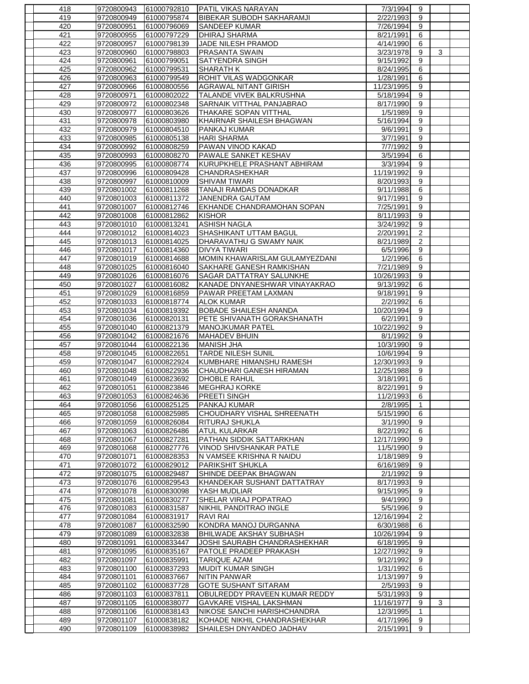| 418 | 9720800943 | 61000792810 | <b>PATIL VIKAS NARAYAN</b>      | 7/3/1994   | 9                |   |  |
|-----|------------|-------------|---------------------------------|------------|------------------|---|--|
| 419 | 9720800949 | 61000795874 | BIBEKAR SUBODH SAKHARAMJI       | 2/22/1993  | 9                |   |  |
| 420 | 9720800951 | 61000796069 | <b>SANDEEP KUMAR</b>            | 7/26/1994  | 9                |   |  |
| 421 | 9720800955 | 61000797229 | <b>DHIRAJ SHARMA</b>            | 8/21/1991  | 6                |   |  |
| 422 | 9720800957 | 61000798139 | JADE NILESH PRAMOD              | 4/14/1990  | 6                |   |  |
| 423 | 9720800960 | 61000798803 | PRASANTA SWAIN                  | 3/23/1978  | 9                | 3 |  |
| 424 | 9720800961 | 61000799051 | <b>SATYENDRA SINGH</b>          | 9/15/1992  | 9                |   |  |
| 425 | 9720800962 | 61000799531 | <b>SHARATH K</b>                | 8/24/1995  | 6                |   |  |
| 426 | 9720800963 | 61000799549 | ROHIT VILAS WADGONKAR           | 1/28/1991  | 6                |   |  |
| 427 | 9720800966 | 61000800556 | AGRAWAL NITANT GIRISH           | 11/23/1995 | 9                |   |  |
| 428 | 9720800971 | 61000802022 | TALANDE VIVEK BALKRUSHNA        | 5/18/1994  | 9                |   |  |
| 429 | 9720800972 | 61000802348 | SARNAIK VITTHAL PANJABRAO       | 8/17/1990  | 9                |   |  |
| 430 | 9720800977 | 61000803626 | <b>THAKARE SOPAN VITTHAL</b>    | 1/5/1989   | 9                |   |  |
| 431 | 9720800978 | 61000803980 | KHAIRNAR SHAILESH BHAGWAN       | 5/16/1994  | 9                |   |  |
| 432 | 9720800979 | 61000804510 | PANKAJ KUMAR                    | 9/6/1991   | $\overline{9}$   |   |  |
| 433 | 9720800985 | 61000805138 | <b>HARI SHARMA</b>              | 3/7/1991   | 9                |   |  |
| 434 | 9720800992 | 61000808259 | PAWAN VINOD KAKAD               | 7/7/1992   | 9                |   |  |
| 435 | 9720800993 | 61000808270 | PAWALE SANKET KESHAV            | 3/5/1994   | $6\overline{6}$  |   |  |
| 436 | 9720800995 | 61000808774 | KURUPKHELE PRASHANT ABHIRAM     | 3/3/1994   | 9                |   |  |
| 437 | 9720800996 | 61000809428 | CHANDRASHEKHAR                  | 11/19/1992 | 9                |   |  |
| 438 | 9720800997 | 61000810009 | <b>SHIVAM TIWARI</b>            | 8/20/1993  | $\boldsymbol{9}$ |   |  |
| 439 | 9720801002 | 61000811268 | TANAJI RAMDAS DONADKAR          | 9/11/1988  | 6                |   |  |
| 440 | 9720801003 | 61000811372 | <b>JANENDRA GAUTAM</b>          | 9/17/1991  | 9                |   |  |
| 441 | 9720801007 | 61000812746 | EKHANDE CHANDRAMOHAN SOPAN      | 7/25/1991  | 9                |   |  |
| 442 | 9720801008 | 61000812862 | <b>KISHOR</b>                   | 8/11/1993  | $\overline{9}$   |   |  |
| 443 | 9720801010 | 61000813241 | <b>ASHISH NAGLA</b>             | 3/24/1992  | 9                |   |  |
| 444 | 9720801012 | 61000814023 | SHASHIKANT UTTAM BAGUL          | 2/20/1991  | $\overline{c}$   |   |  |
| 445 | 9720801013 | 61000814025 | DHARAVATHU G SWAMY NAIK         | 8/21/1989  | $\overline{2}$   |   |  |
| 446 | 9720801017 | 61000814360 | <b>DIVYA TIWARI</b>             | 6/5/1996   | 9                |   |  |
| 447 | 9720801019 | 61000814688 | MOMIN KHAWARISLAM GULAMYEZDANI  | 1/2/1996   | 6                |   |  |
| 448 | 9720801025 | 61000816040 | <b>SAKHARE GANESH RAMKISHAN</b> | 7/21/1989  | 9                |   |  |
| 449 | 9720801026 | 61000816076 | <b>SAGAR DATTATRAY SALUNKHE</b> | 10/26/1993 | 9                |   |  |
| 450 | 9720801027 | 61000816082 | KANADE DNYANESHWAR VINAYAKRAO   | 9/13/1992  | 6                |   |  |
| 451 | 9720801029 | 61000816859 | <b>PAWAR PREETAM LAXMAN</b>     | 9/18/1991  | 9                |   |  |
| 452 | 9720801033 | 61000818774 | <b>ALOK KUMAR</b>               | 2/2/1992   | 6                |   |  |
| 453 | 9720801034 | 61000819392 | <b>BOBADE SHAILESH ANANDA</b>   | 10/20/1994 | $\boldsymbol{9}$ |   |  |
| 454 | 9720801036 | 61000820131 | PETE SHIVANATH GORAKSHANATH     | 6/2/1991   | 9                |   |  |
| 455 | 9720801040 | 61000821379 | MANOJKUMAR PATEL                | 10/22/1992 | 9                |   |  |
| 456 | 9720801042 | 61000821676 | <b>MAHADEV BHUIN</b>            | 8/1/1992   | $\boldsymbol{9}$ |   |  |
| 457 | 9720801044 | 61000822136 | <b>MANISH JHA</b>               | 10/3/1990  | 9                |   |  |
| 458 | 9720801045 | 61000822651 | <b>TARDE NILESH SUNIL</b>       | 10/6/1994  | 9                |   |  |
| 459 | 9720801047 | 61000822924 | KUMBHARE HIMANSHU RAMESH        | 12/30/1993 | 9                |   |  |
| 460 | 9720801048 | 61000822936 | CHAUDHARI GANESH HIRAMAN        | 12/25/1988 | 9                |   |  |
| 461 | 9720801049 | 61000823692 | <b>DHOBLE RAHUL</b>             | 3/18/1991  | 6                |   |  |
| 462 | 9720801051 | 61000823846 | <b>MEGHRAJ KORKE</b>            | 8/22/1991  | 9                |   |  |
| 463 | 9720801053 | 61000824636 | <b>PREETI SINGH</b>             | 11/2/1993  | 6                |   |  |
| 464 | 9720801056 | 61000825125 | PANKAJ KUMAR                    | 2/8/1995   | 1                |   |  |
| 465 | 9720801058 | 61000825985 | CHOUDHARY VISHAL SHREENATH      | 5/15/1990  | 6                |   |  |
| 466 | 9720801059 | 61000826084 | RITURAJ SHUKLA                  | 3/1/1990   | 9                |   |  |
| 467 | 9720801063 | 61000826486 | <b>ATUL KULARKAR</b>            | 8/22/1992  | 6                |   |  |
| 468 | 9720801067 | 61000827281 | PATHAN SIDDIK SATTARKHAN        | 12/17/1990 | 9                |   |  |
| 469 | 9720801068 | 61000827776 | VINOD SHIVSHANKAR PATLE         | 11/5/1990  | 9                |   |  |
| 470 | 9720801071 | 61000828353 | N VAMSEE KRISHNA R NAIDU        | 1/18/1989  | 9                |   |  |
| 471 | 9720801072 | 61000829012 | PARIKSHIT SHUKLA                | 6/16/1989  | 9                |   |  |
| 472 | 9720801075 | 61000829487 | SHINDE DEEPAK BHAGWAN           | 2/1/1992   | 9                |   |  |
| 473 | 9720801076 | 61000829543 | KHANDEKAR SUSHANT DATTATRAY     | 8/17/1993  | 9                |   |  |
| 474 | 9720801078 | 61000830098 | YASH MUDLIAR                    | 9/15/1995  | 9                |   |  |
| 475 | 9720801081 | 61000830277 | SHELAR VIRAJ POPATRAO           | 9/4/1990   | 9                |   |  |
| 476 | 9720801083 | 61000831587 | NIKHIL PANDITRAO INGLE          | 5/5/1996   | 9                |   |  |
| 477 | 9720801084 | 61000831917 | <b>RAVI RAI</b>                 | 12/16/1994 | $\overline{c}$   |   |  |
| 478 | 9720801087 | 61000832590 | KONDRA MANOJ DURGANNA           | 6/30/1988  | 6                |   |  |
| 479 | 9720801089 | 61000832838 | BHILWADE AKSHAY SUBHASH         | 10/26/1994 | 9                |   |  |
| 480 | 9720801091 | 61000833447 | JOSHI SAURABH CHANDRASHEKHAR    | 6/18/1995  | 9                |   |  |
| 481 | 9720801095 | 61000835167 | PATOLE PRADEEP PRAKASH          | 12/27/1992 | 9                |   |  |
| 482 | 9720801097 | 61000835991 | TARIQUE AZAM                    | 9/12/1992  | 9                |   |  |
| 483 | 9720801100 | 61000837293 | MUDIT KUMAR SINGH               | 1/31/1992  | 6                |   |  |
| 484 | 9720801101 | 61000837667 | <b>NITIN PANWAR</b>             | 1/13/1997  | 9                |   |  |
| 485 | 9720801102 | 61000837728 | <b>GOTE SUSHANT SITARAM</b>     | 2/5/1993   | 9                |   |  |
| 486 | 9720801103 | 61000837811 | OBULREDDY PRAVEEN KUMAR REDDY   | 5/31/1993  | 9                |   |  |
| 487 | 9720801105 | 61000838077 | GAVKARE VISHAL LAKSHMAN         | 11/16/1977 | 9                | 3 |  |
| 488 | 9720801106 | 61000838143 | NIKOSE SANCHI HARISHCHANDRA     | 12/3/1995  | 1                |   |  |
| 489 | 9720801107 | 61000838182 | KOHADE NIKHIL CHANDRASHEKHAR    | 4/17/1996  | 9                |   |  |
| 490 | 9720801109 | 61000838982 | SHAILESH DNYANDEO JADHAV        | 2/15/1991  | 9                |   |  |
|     |            |             |                                 |            |                  |   |  |